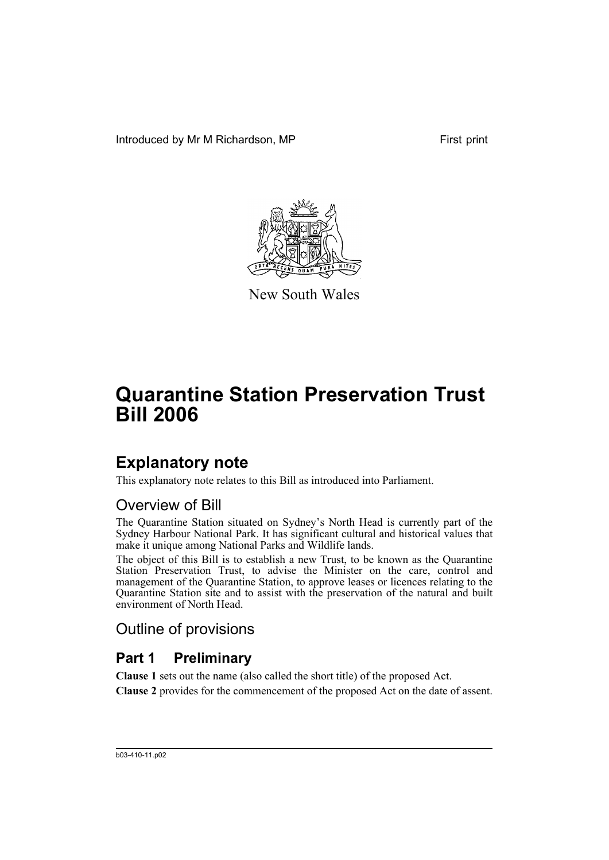Introduced by Mr M Richardson, MP First print



New South Wales

# **Quarantine Station Preservation Trust Bill 2006**

# **Explanatory note**

This explanatory note relates to this Bill as introduced into Parliament.

# Overview of Bill

The Quarantine Station situated on Sydney's North Head is currently part of the Sydney Harbour National Park. It has significant cultural and historical values that make it unique among National Parks and Wildlife lands.

The object of this Bill is to establish a new Trust, to be known as the Quarantine Station Preservation Trust, to advise the Minister on the care, control and management of the Quarantine Station, to approve leases or licences relating to the Quarantine Station site and to assist with the preservation of the natural and built environment of North Head.

Outline of provisions

# **Part 1 Preliminary**

**Clause 1** sets out the name (also called the short title) of the proposed Act.

**Clause 2** provides for the commencement of the proposed Act on the date of assent.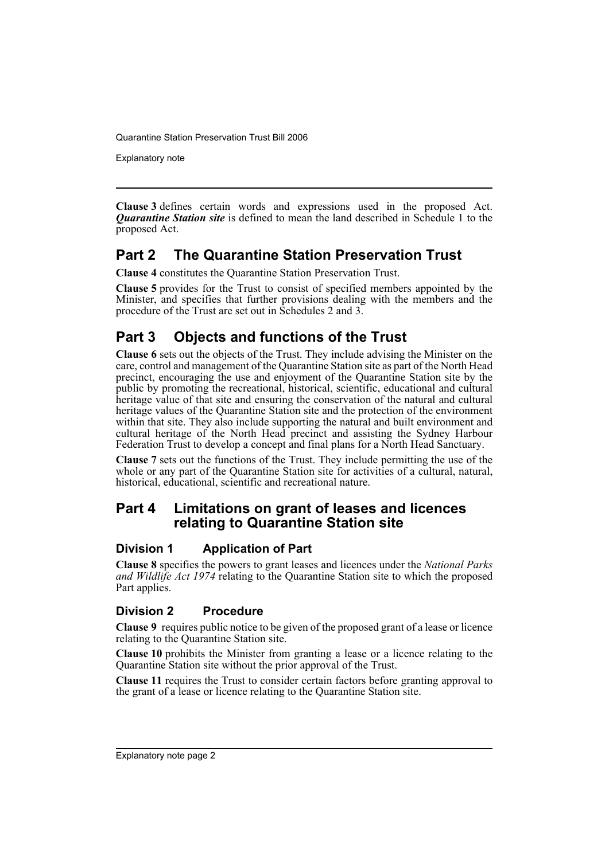Explanatory note

**Clause 3** defines certain words and expressions used in the proposed Act. *Quarantine Station site* is defined to mean the land described in Schedule 1 to the proposed Act.

# **Part 2 The Quarantine Station Preservation Trust**

**Clause 4** constitutes the Quarantine Station Preservation Trust.

**Clause 5** provides for the Trust to consist of specified members appointed by the Minister, and specifies that further provisions dealing with the members and the procedure of the Trust are set out in Schedules 2 and 3.

# **Part 3 Objects and functions of the Trust**

**Clause 6** sets out the objects of the Trust. They include advising the Minister on the care, control and management of the Quarantine Station site as part of the North Head precinct, encouraging the use and enjoyment of the Quarantine Station site by the public by promoting the recreational, historical, scientific, educational and cultural heritage value of that site and ensuring the conservation of the natural and cultural heritage values of the Quarantine Station site and the protection of the environment within that site. They also include supporting the natural and built environment and cultural heritage of the North Head precinct and assisting the Sydney Harbour Federation Trust to develop a concept and final plans for a North Head Sanctuary.

**Clause 7** sets out the functions of the Trust. They include permitting the use of the whole or any part of the Quarantine Station site for activities of a cultural, natural, historical, educational, scientific and recreational nature.

# **Part 4 Limitations on grant of leases and licences relating to Quarantine Station site**

# **Division 1 Application of Part**

**Clause 8** specifies the powers to grant leases and licences under the *National Parks and Wildlife Act 1974* relating to the Quarantine Station site to which the proposed Part applies.

# **Division 2 Procedure**

**Clause 9** requires public notice to be given of the proposed grant of a lease or licence relating to the Quarantine Station site.

**Clause 10** prohibits the Minister from granting a lease or a licence relating to the Quarantine Station site without the prior approval of the Trust.

**Clause 11** requires the Trust to consider certain factors before granting approval to the grant of a lease or licence relating to the Quarantine Station site.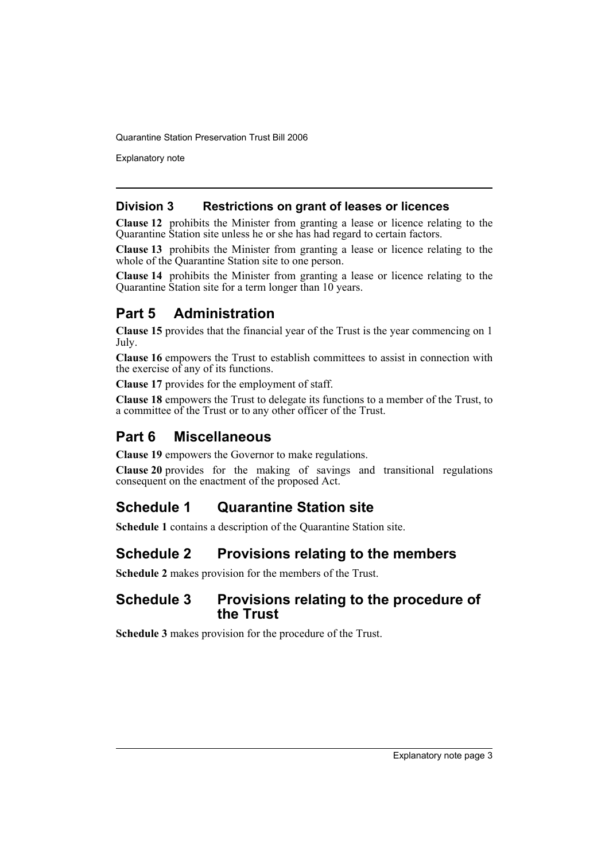Explanatory note

# **Division 3 Restrictions on grant of leases or licences**

**Clause 12** prohibits the Minister from granting a lease or licence relating to the Quarantine Station site unless he or she has had regard to certain factors.

**Clause 13** prohibits the Minister from granting a lease or licence relating to the whole of the Quarantine Station site to one person.

**Clause 14** prohibits the Minister from granting a lease or licence relating to the Quarantine Station site for a term longer than 10 years.

# **Part 5 Administration**

**Clause 15** provides that the financial year of the Trust is the year commencing on 1 July.

**Clause 16** empowers the Trust to establish committees to assist in connection with the exercise of any of its functions.

**Clause 17** provides for the employment of staff.

**Clause 18** empowers the Trust to delegate its functions to a member of the Trust, to a committee of the Trust or to any other officer of the Trust.

# **Part 6 Miscellaneous**

**Clause 19** empowers the Governor to make regulations.

**Clause 20** provides for the making of savings and transitional regulations consequent on the enactment of the proposed Act.

# **Schedule 1 Quarantine Station site**

**Schedule 1** contains a description of the Quarantine Station site.

# **Schedule 2 Provisions relating to the members**

**Schedule 2** makes provision for the members of the Trust.

# **Schedule 3 Provisions relating to the procedure of the Trust**

**Schedule 3** makes provision for the procedure of the Trust.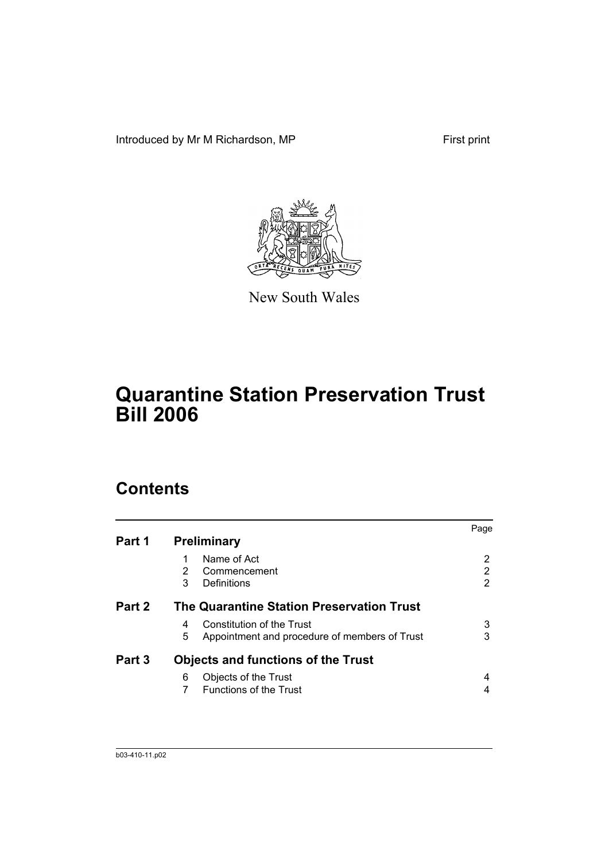Introduced by Mr M Richardson, MP First print



New South Wales

# **Quarantine Station Preservation Trust Bill 2006**

# **Contents**

|        |                                                    | Page |
|--------|----------------------------------------------------|------|
| Part 1 | <b>Preliminary</b>                                 |      |
|        | Name of Act                                        | 2    |
|        | 2<br>Commencement                                  | 2    |
|        | 3<br>Definitions                                   | 2    |
| Part 2 | The Quarantine Station Preservation Trust          |      |
|        | Constitution of the Trust<br>4                     | 3    |
|        | 5<br>Appointment and procedure of members of Trust | 3    |
| Part 3 | Objects and functions of the Trust                 |      |
|        | Objects of the Trust<br>6                          |      |
|        | Functions of the Trust                             |      |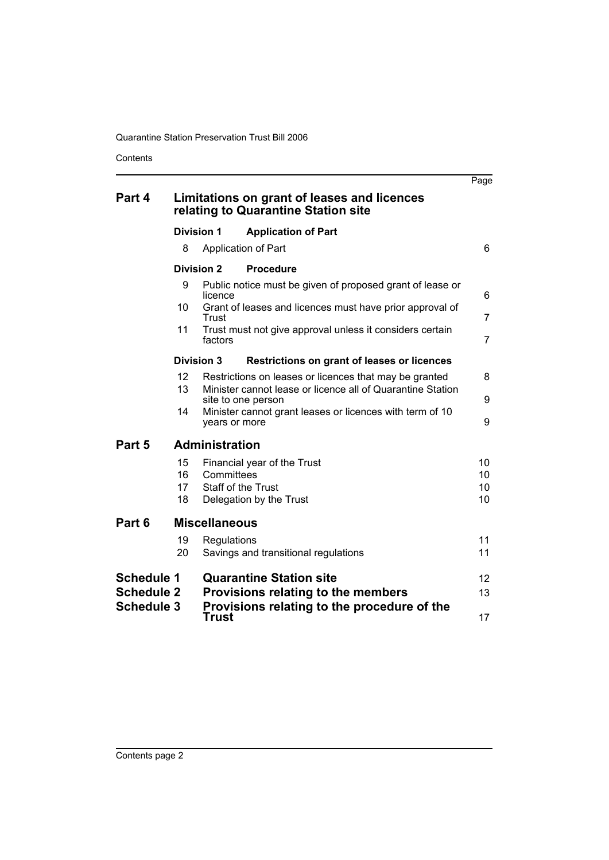**Contents** 

|                                        |                       |                       |                                                                                                                      | Page                              |
|----------------------------------------|-----------------------|-----------------------|----------------------------------------------------------------------------------------------------------------------|-----------------------------------|
| Part 4                                 |                       |                       | Limitations on grant of leases and licences<br>relating to Quarantine Station site                                   |                                   |
|                                        |                       | Division 1            | <b>Application of Part</b>                                                                                           |                                   |
|                                        | 8                     |                       | Application of Part                                                                                                  | 6                                 |
|                                        |                       | <b>Division 2</b>     | <b>Procedure</b>                                                                                                     |                                   |
|                                        | 9                     | licence               | Public notice must be given of proposed grant of lease or                                                            | 6                                 |
|                                        | 10                    | Trust                 | Grant of leases and licences must have prior approval of                                                             | $\overline{7}$                    |
|                                        | 11                    | factors               | Trust must not give approval unless it considers certain                                                             | $\overline{7}$                    |
|                                        |                       | <b>Division 3</b>     | Restrictions on grant of leases or licences                                                                          |                                   |
|                                        | 12 <sup>2</sup><br>13 |                       | Restrictions on leases or licences that may be granted<br>Minister cannot lease or licence all of Quarantine Station | 8                                 |
|                                        | 14                    | years or more         | site to one person<br>Minister cannot grant leases or licences with term of 10                                       | 9<br>9                            |
| Part 5                                 |                       | <b>Administration</b> |                                                                                                                      |                                   |
|                                        | 15<br>16<br>17<br>18  | Committees            | Financial year of the Trust<br>Staff of the Trust<br>Delegation by the Trust                                         | 10<br>10<br>10 <sup>1</sup><br>10 |
| Part 6                                 |                       | <b>Miscellaneous</b>  |                                                                                                                      |                                   |
|                                        | 19<br>20              | Regulations           | Savings and transitional regulations                                                                                 | 11<br>11                          |
| <b>Schedule 1</b><br><b>Schedule 2</b> |                       |                       | <b>Quarantine Station site</b><br>Provisions relating to the members                                                 | $12 \overline{ }$<br>13           |
| <b>Schedule 3</b>                      |                       | Trust                 | Provisions relating to the procedure of the                                                                          | 17                                |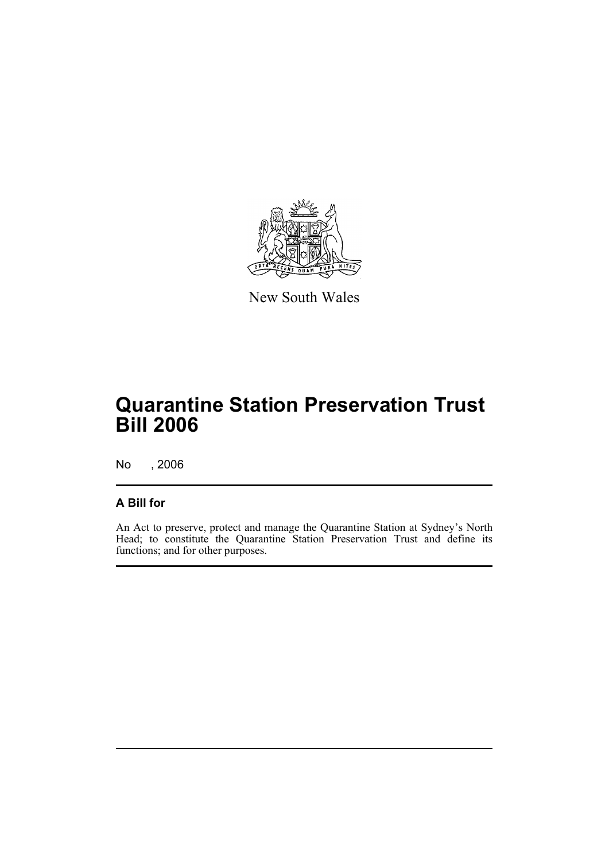

New South Wales

# **Quarantine Station Preservation Trust Bill 2006**

No , 2006

# **A Bill for**

An Act to preserve, protect and manage the Quarantine Station at Sydney's North Head; to constitute the Quarantine Station Preservation Trust and define its functions; and for other purposes.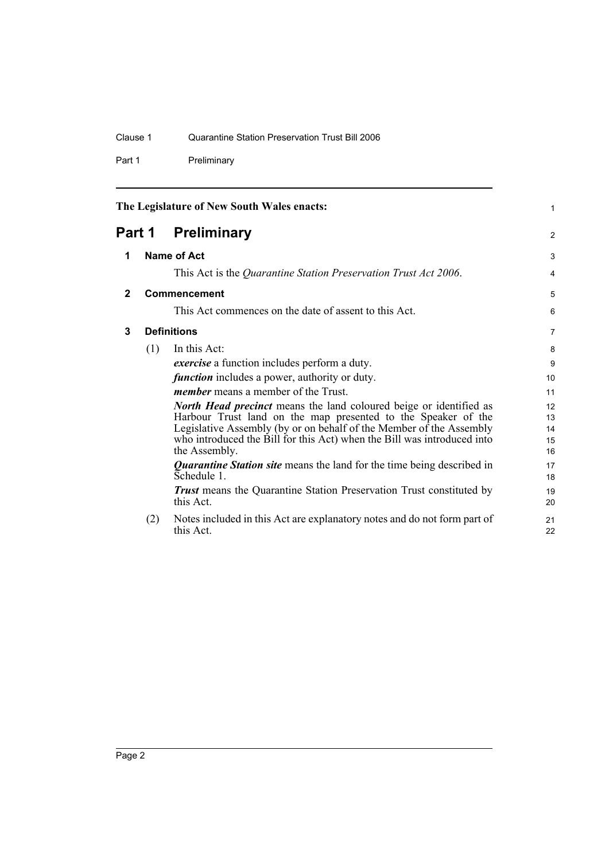Part 1 Preliminary

<span id="page-7-3"></span><span id="page-7-2"></span><span id="page-7-1"></span><span id="page-7-0"></span>

|              | The Legislature of New South Wales enacts: |                                                                                              |                |
|--------------|--------------------------------------------|----------------------------------------------------------------------------------------------|----------------|
|              | Part 1                                     | <b>Preliminary</b>                                                                           | $\overline{2}$ |
| 1            |                                            | <b>Name of Act</b>                                                                           |                |
|              |                                            | This Act is the Quarantine Station Preservation Trust Act 2006.                              | 4              |
| $\mathbf{2}$ |                                            | Commencement                                                                                 | 5              |
|              |                                            | This Act commences on the date of assent to this Act.                                        | 6              |
| 3            |                                            | <b>Definitions</b>                                                                           | 7              |
|              | (1)                                        | In this Act:                                                                                 | 8              |
|              |                                            | <i>exercise</i> a function includes perform a duty.                                          | 9              |
|              |                                            | <i>function</i> includes a power, authority or duty.                                         | 10             |
|              |                                            | <i>member</i> means a member of the Trust.                                                   | 11             |
|              |                                            | <b>North Head precinct</b> means the land coloured beige or identified as                    | 12             |
|              |                                            | Harbour Trust land on the map presented to the Speaker of the                                | 13             |
|              |                                            | Legislative Assembly (by or on behalf of the Member of the Assembly                          | 14             |
|              |                                            | who introduced the Bill for this Act) when the Bill was introduced into                      | 15             |
|              |                                            | the Assembly.                                                                                | 16             |
|              |                                            | <b>Quarantine Station site</b> means the land for the time being described in<br>Schedule 1. | 17<br>18       |
|              |                                            |                                                                                              |                |
|              |                                            | <b>Trust</b> means the Quarantine Station Preservation Trust constituted by<br>this Act.     | 19<br>20       |
|              | (2)                                        | Notes included in this Act are explanatory notes and do not form part of<br>this Act.        | 21<br>22       |
|              |                                            |                                                                                              |                |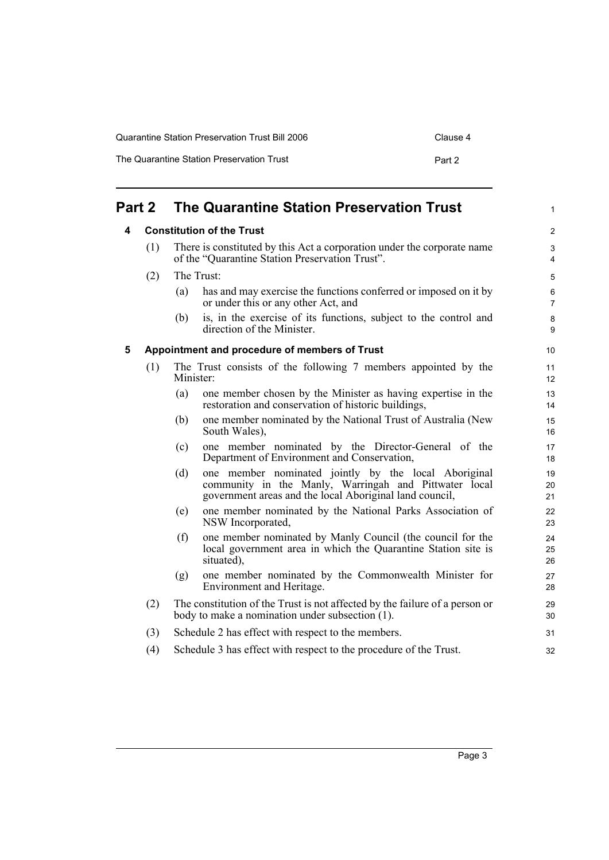| Quarantine Station Preservation Trust Bill 2006 | Clause 4 |
|-------------------------------------------------|----------|
| The Quarantine Station Preservation Trust       | Part 2   |

<span id="page-8-2"></span><span id="page-8-1"></span><span id="page-8-0"></span>

| Part 2 |     | <b>The Quarantine Station Preservation Trust</b>                                                                                                                                | 1                   |
|--------|-----|---------------------------------------------------------------------------------------------------------------------------------------------------------------------------------|---------------------|
| 4      |     | <b>Constitution of the Trust</b>                                                                                                                                                | $\overline{c}$      |
|        | (1) | There is constituted by this Act a corporation under the corporate name<br>of the "Quarantine Station Preservation Trust".                                                      | 3<br>4              |
|        | (2) | The Trust:                                                                                                                                                                      | 5                   |
|        |     | has and may exercise the functions conferred or imposed on it by<br>(a)<br>or under this or any other Act, and                                                                  | 6<br>$\overline{7}$ |
|        |     | is, in the exercise of its functions, subject to the control and<br>(b)<br>direction of the Minister.                                                                           | 8<br>9              |
| 5      |     | Appointment and procedure of members of Trust                                                                                                                                   | 10                  |
|        | (1) | The Trust consists of the following 7 members appointed by the<br>Minister:                                                                                                     | 11<br>12            |
|        |     | one member chosen by the Minister as having expertise in the<br>(a)<br>restoration and conservation of historic buildings,                                                      | 13<br>14            |
|        |     | one member nominated by the National Trust of Australia (New<br>(b)<br>South Wales),                                                                                            | 15<br>16            |
|        |     | one member nominated by the Director-General of the<br>(c)<br>Department of Environment and Conservation,                                                                       | 17<br>18            |
|        |     | one member nominated jointly by the local Aboriginal<br>(d)<br>community in the Manly, Warringah and Pittwater local<br>government areas and the local Aboriginal land council, | 19<br>20<br>21      |
|        |     | one member nominated by the National Parks Association of<br>(e)<br>NSW Incorporated,                                                                                           | 22<br>23            |
|        |     | (f)<br>one member nominated by Manly Council (the council for the<br>local government area in which the Quarantine Station site is<br>situated).                                | 24<br>25<br>26      |
|        |     | one member nominated by the Commonwealth Minister for<br>(g)<br>Environment and Heritage.                                                                                       | 27<br>28            |
|        | (2) | The constitution of the Trust is not affected by the failure of a person or<br>body to make a nomination under subsection (1).                                                  | 29<br>30            |
|        | (3) | Schedule 2 has effect with respect to the members.                                                                                                                              | 31                  |
|        | (4) | Schedule 3 has effect with respect to the procedure of the Trust.                                                                                                               | 32                  |
|        |     |                                                                                                                                                                                 |                     |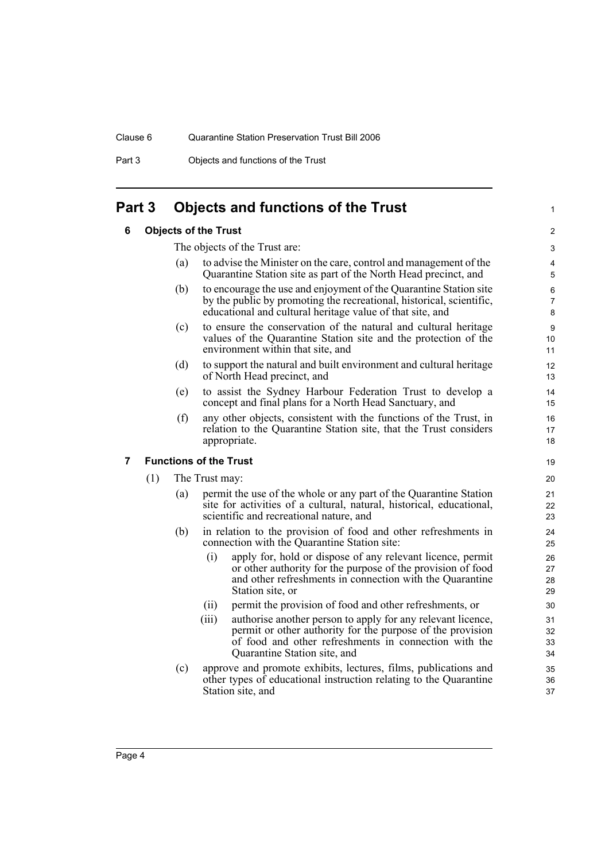Part 3 Objects and functions of the Trust

# <span id="page-9-1"></span><span id="page-9-0"></span>**Part 3 Objects and functions of the Trust**

## **6 Objects of the Trust**

The objects of the Trust are:

- (a) to advise the Minister on the care, control and management of the Quarantine Station site as part of the North Head precinct, and
- (b) to encourage the use and enjoyment of the Quarantine Station site by the public by promoting the recreational, historical, scientific, educational and cultural heritage value of that site, and
- (c) to ensure the conservation of the natural and cultural heritage values of the Quarantine Station site and the protection of the environment within that site, and
- (d) to support the natural and built environment and cultural heritage of North Head precinct, and
- (e) to assist the Sydney Harbour Federation Trust to develop a concept and final plans for a North Head Sanctuary, and
- (f) any other objects, consistent with the functions of the Trust, in relation to the Quarantine Station site, that the Trust considers appropriate.

# <span id="page-9-2"></span>**7 Functions of the Trust**

- (1) The Trust may:
	- (a) permit the use of the whole or any part of the Quarantine Station site for activities of a cultural, natural, historical, educational, scientific and recreational nature, and
	- (b) in relation to the provision of food and other refreshments in connection with the Quarantine Station site:
		- (i) apply for, hold or dispose of any relevant licence, permit or other authority for the purpose of the provision of food and other refreshments in connection with the Quarantine Station site, or
		- (ii) permit the provision of food and other refreshments, or
		- (iii) authorise another person to apply for any relevant licence, permit or other authority for the purpose of the provision of food and other refreshments in connection with the Quarantine Station site, and
	- (c) approve and promote exhibits, lectures, films, publications and other types of educational instruction relating to the Quarantine Station site, and

1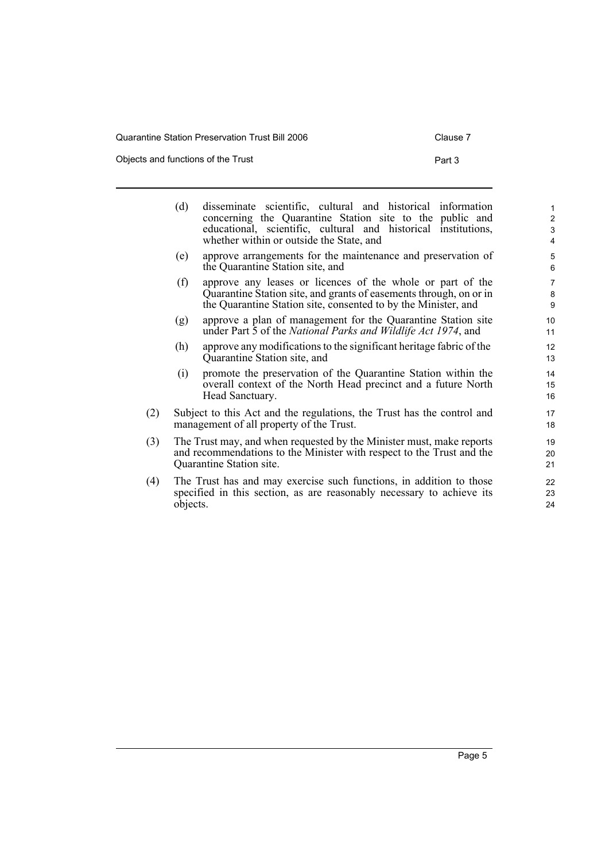Quarantine Station Preservation Trust Bill 2006 Clause 7

Objects and functions of the Trust **Part 3** Part 3

|     | (d)                                                                                                                                                                       | disseminate scientific, cultural and historical information<br>concerning the Quarantine Station site to the public and<br>educational, scientific, cultural and historical institutions,<br>whether within or outside the State, and | 1<br>$\overline{c}$<br>3<br>4 |
|-----|---------------------------------------------------------------------------------------------------------------------------------------------------------------------------|---------------------------------------------------------------------------------------------------------------------------------------------------------------------------------------------------------------------------------------|-------------------------------|
|     | (e)                                                                                                                                                                       | approve arrangements for the maintenance and preservation of<br>the Quarantine Station site, and                                                                                                                                      | 5<br>$6\phantom{1}6$          |
|     | (f)                                                                                                                                                                       | approve any leases or licences of the whole or part of the<br>Quarantine Station site, and grants of easements through, on or in<br>the Quarantine Station site, consented to by the Minister, and                                    | $\overline{7}$<br>8<br>9      |
|     | (g)                                                                                                                                                                       | approve a plan of management for the Quarantine Station site<br>under Part 5 of the National Parks and Wildlife Act 1974, and                                                                                                         | 10<br>11                      |
|     | (h)                                                                                                                                                                       | approve any modifications to the significant heritage fabric of the<br>Quarantine Station site, and                                                                                                                                   | 12<br>13                      |
|     | (i)                                                                                                                                                                       | promote the preservation of the Quarantine Station within the<br>overall context of the North Head precinct and a future North<br>Head Sanctuary.                                                                                     | 14<br>15<br>16                |
| (2) |                                                                                                                                                                           | Subject to this Act and the regulations, the Trust has the control and<br>management of all property of the Trust.                                                                                                                    | 17<br>18                      |
| (3) | The Trust may, and when requested by the Minister must, make reports<br>and recommendations to the Minister with respect to the Trust and the<br>Quarantine Station site. |                                                                                                                                                                                                                                       |                               |
| (4) | objects.                                                                                                                                                                  | The Trust has and may exercise such functions, in addition to those<br>specified in this section, as are reasonably necessary to achieve its                                                                                          | 22<br>23<br>24                |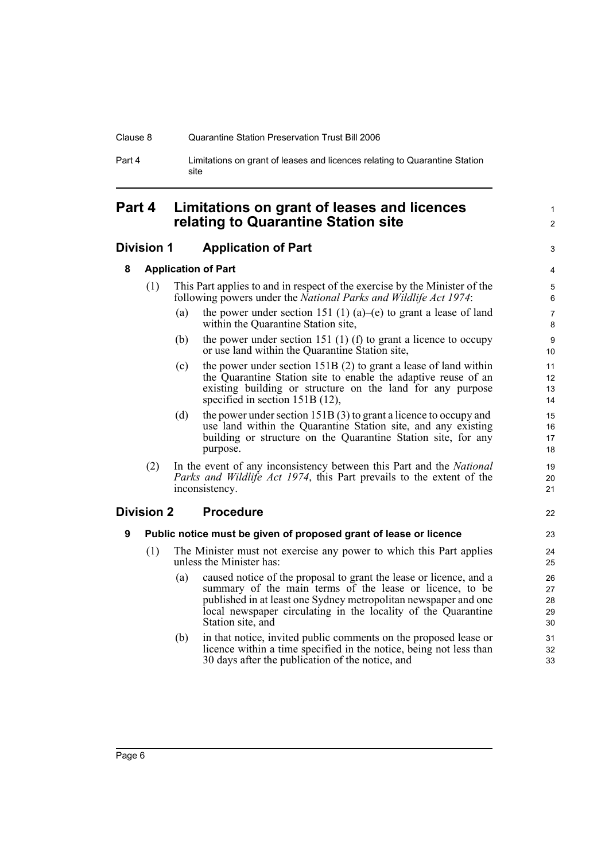| Part 4 | Limitations on grant of leases and licences relating to Quarantine Station |
|--------|----------------------------------------------------------------------------|
|        | site                                                                       |

# <span id="page-11-0"></span>**Part 4 Limitations on grant of leases and licences relating to Quarantine Station site**

# <span id="page-11-2"></span><span id="page-11-1"></span>**Division 1 Application of Part**

## **8 Application of Part**

- (1) This Part applies to and in respect of the exercise by the Minister of the following powers under the *National Parks and Wildlife Act 1974*:
	- (a) the power under section 151 (1) (a)–(e) to grant a lease of land within the Quarantine Station site,

1  $\mathfrak{p}$ 

3

22

- (b) the power under section 151 (1) (f) to grant a licence to occupy or use land within the Quarantine Station site,
- (c) the power under section 151B (2) to grant a lease of land within the Quarantine Station site to enable the adaptive reuse of an existing building or structure on the land for any purpose specified in section 151B (12),
- (d) the power under section  $151B(3)$  to grant a licence to occupy and use land within the Quarantine Station site, and any existing building or structure on the Quarantine Station site, for any purpose.
- (2) In the event of any inconsistency between this Part and the *National Parks and Wildlife Act 1974*, this Part prevails to the extent of the inconsistency.

# <span id="page-11-4"></span><span id="page-11-3"></span>**Division 2 Procedure**

## **9 Public notice must be given of proposed grant of lease or licence**

- (1) The Minister must not exercise any power to which this Part applies unless the Minister has:
	- (a) caused notice of the proposal to grant the lease or licence, and a summary of the main terms of the lease or licence, to be published in at least one Sydney metropolitan newspaper and one local newspaper circulating in the locality of the Quarantine Station site, and
	- (b) in that notice, invited public comments on the proposed lease or licence within a time specified in the notice, being not less than 30 days after the publication of the notice, and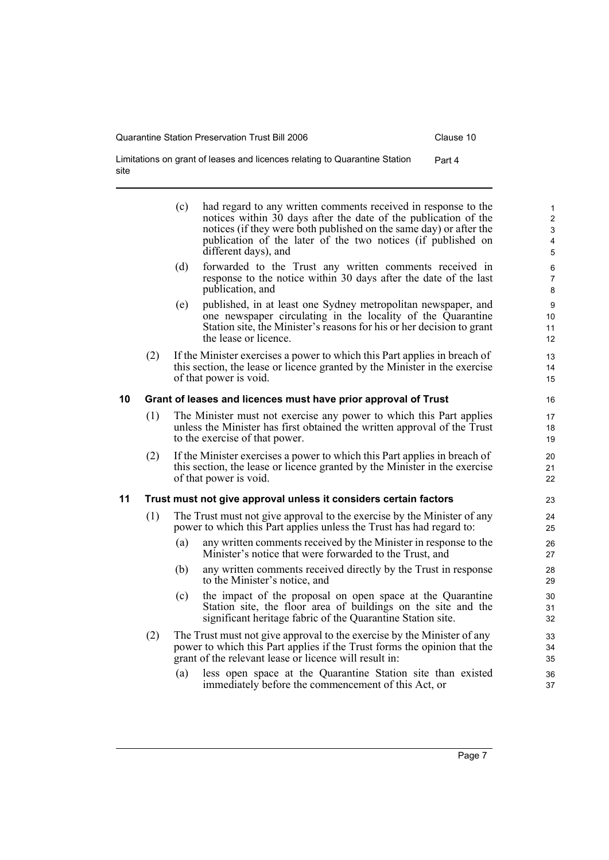Quarantine Station Preservation Trust Bill 2006 Clause 10

Limitations on grant of leases and licences relating to Quarantine Station Part 4 site

- (c) had regard to any written comments received in response to the notices within 30 days after the date of the publication of the notices (if they were both published on the same day) or after the publication of the later of the two notices (if published on different days), and
- (d) forwarded to the Trust any written comments received in response to the notice within 30 days after the date of the last publication, and
- (e) published, in at least one Sydney metropolitan newspaper, and one newspaper circulating in the locality of the Quarantine Station site, the Minister's reasons for his or her decision to grant the lease or licence.
- (2) If the Minister exercises a power to which this Part applies in breach of this section, the lease or licence granted by the Minister in the exercise of that power is void.

#### <span id="page-12-0"></span>**10 Grant of leases and licences must have prior approval of Trust**

- (1) The Minister must not exercise any power to which this Part applies unless the Minister has first obtained the written approval of the Trust to the exercise of that power.
- (2) If the Minister exercises a power to which this Part applies in breach of this section, the lease or licence granted by the Minister in the exercise of that power is void.

## <span id="page-12-1"></span>**11 Trust must not give approval unless it considers certain factors**

- (1) The Trust must not give approval to the exercise by the Minister of any power to which this Part applies unless the Trust has had regard to:
	- (a) any written comments received by the Minister in response to the Minister's notice that were forwarded to the Trust, and
	- (b) any written comments received directly by the Trust in response to the Minister's notice, and
	- (c) the impact of the proposal on open space at the Quarantine Station site, the floor area of buildings on the site and the significant heritage fabric of the Quarantine Station site.
- (2) The Trust must not give approval to the exercise by the Minister of any power to which this Part applies if the Trust forms the opinion that the grant of the relevant lease or licence will result in:
	- (a) less open space at the Quarantine Station site than existed immediately before the commencement of this Act, or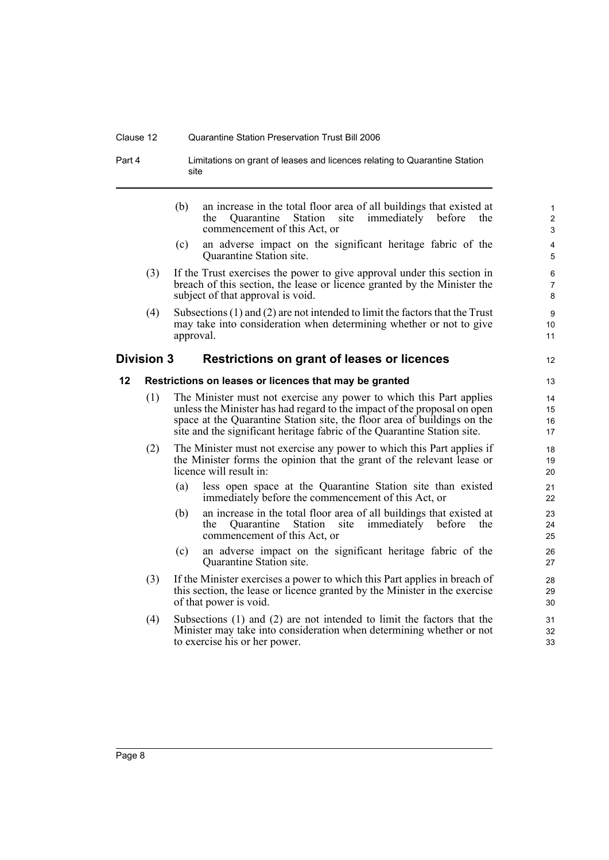#### Clause 12 Quarantine Station Preservation Trust Bill 2006

Part 4 Limitations on grant of leases and licences relating to Quarantine Station site

<span id="page-13-1"></span><span id="page-13-0"></span>

|    |                   | (b)<br>an increase in the total floor area of all buildings that existed at<br>Station site<br>immediately before<br>the<br>Quarantine<br>the<br>commencement of this Act, or                                                                                                                           | $\mathbf{1}$<br>$\overline{2}$<br>$\mathsf 3$ |
|----|-------------------|---------------------------------------------------------------------------------------------------------------------------------------------------------------------------------------------------------------------------------------------------------------------------------------------------------|-----------------------------------------------|
|    |                   | an adverse impact on the significant heritage fabric of the<br>(c)<br>Quarantine Station site.                                                                                                                                                                                                          | $\overline{4}$<br>$\overline{5}$              |
|    | (3)               | If the Trust exercises the power to give approval under this section in<br>breach of this section, the lease or licence granted by the Minister the<br>subject of that approval is void.                                                                                                                | 6<br>$\overline{7}$<br>8                      |
|    | (4)               | Subsections $(1)$ and $(2)$ are not intended to limit the factors that the Trust<br>may take into consideration when determining whether or not to give<br>approval.                                                                                                                                    | $\boldsymbol{9}$<br>10<br>11                  |
|    | <b>Division 3</b> | <b>Restrictions on grant of leases or licences</b>                                                                                                                                                                                                                                                      | 12                                            |
| 12 |                   | Restrictions on leases or licences that may be granted                                                                                                                                                                                                                                                  | 13                                            |
|    | (1)               | The Minister must not exercise any power to which this Part applies<br>unless the Minister has had regard to the impact of the proposal on open<br>space at the Quarantine Station site, the floor area of buildings on the<br>site and the significant heritage fabric of the Quarantine Station site. | 14<br>15<br>16<br>17                          |
|    | (2)               | The Minister must not exercise any power to which this Part applies if<br>the Minister forms the opinion that the grant of the relevant lease or<br>licence will result in:                                                                                                                             | 18<br>19<br>20                                |
|    |                   | less open space at the Quarantine Station site than existed<br>(a)<br>immediately before the commencement of this Act, or                                                                                                                                                                               | 21<br>22                                      |
|    |                   | an increase in the total floor area of all buildings that existed at<br>(b)<br>Station<br>site<br>immediately before<br>the<br>Quarantine<br>the<br>commencement of this Act, or                                                                                                                        | 23<br>24<br>25                                |
|    |                   | an adverse impact on the significant heritage fabric of the<br>(c)<br>Quarantine Station site.                                                                                                                                                                                                          | 26<br>27                                      |
|    | (3)               | If the Minister exercises a power to which this Part applies in breach of<br>this section, the lease or licence granted by the Minister in the exercise<br>of that power is void.                                                                                                                       | 28<br>29<br>30                                |
|    | (4)               | Subsections (1) and (2) are not intended to limit the factors that the<br>Minister may take into consideration when determining whether or not<br>to exercise his or her power.                                                                                                                         | 31<br>32<br>33                                |
|    |                   |                                                                                                                                                                                                                                                                                                         |                                               |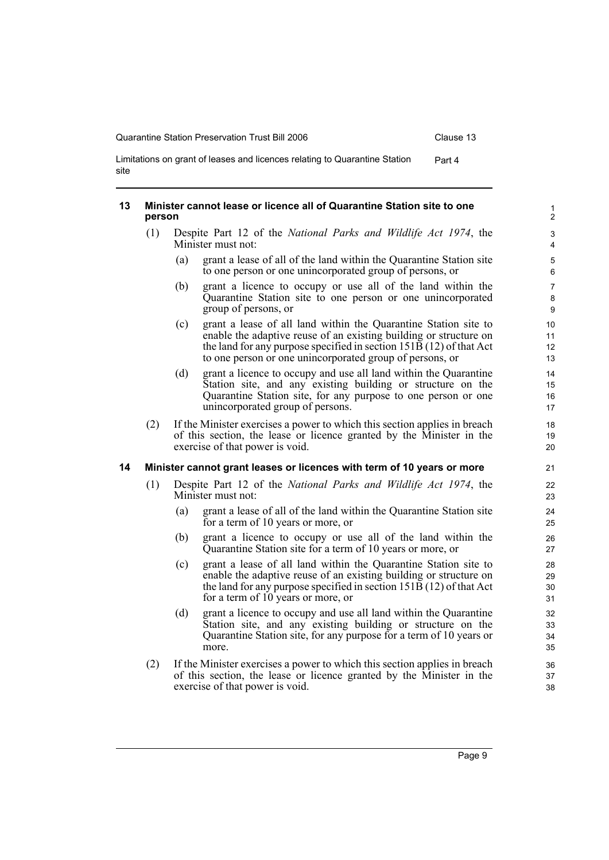Limitations on grant of leases and licences relating to Quarantine Station Part 4 site

#### <span id="page-14-0"></span>**13 Minister cannot lease or licence all of Quarantine Station site to one person**

- (1) Despite Part 12 of the *National Parks and Wildlife Act 1974*, the Minister must not:
	- (a) grant a lease of all of the land within the Quarantine Station site to one person or one unincorporated group of persons, or
	- (b) grant a licence to occupy or use all of the land within the Quarantine Station site to one person or one unincorporated group of persons, or
	- (c) grant a lease of all land within the Quarantine Station site to enable the adaptive reuse of an existing building or structure on the land for any purpose specified in section 151B (12) of that Act to one person or one unincorporated group of persons, or
	- (d) grant a licence to occupy and use all land within the Quarantine Station site, and any existing building or structure on the Quarantine Station site, for any purpose to one person or one unincorporated group of persons.
- (2) If the Minister exercises a power to which this section applies in breach of this section, the lease or licence granted by the Minister in the exercise of that power is void.

#### <span id="page-14-1"></span>**14 Minister cannot grant leases or licences with term of 10 years or more**

- (1) Despite Part 12 of the *National Parks and Wildlife Act 1974*, the Minister must not:
	- (a) grant a lease of all of the land within the Quarantine Station site for a term of 10 years or more, or
	- (b) grant a licence to occupy or use all of the land within the Quarantine Station site for a term of 10 years or more, or
	- (c) grant a lease of all land within the Quarantine Station site to enable the adaptive reuse of an existing building or structure on the land for any purpose specified in section 151B (12) of that Act for a term of 10 years or more, or
	- (d) grant a licence to occupy and use all land within the Quarantine Station site, and any existing building or structure on the Quarantine Station site, for any purpose for a term of 10 years or more.
- (2) If the Minister exercises a power to which this section applies in breach of this section, the lease or licence granted by the Minister in the exercise of that power is void.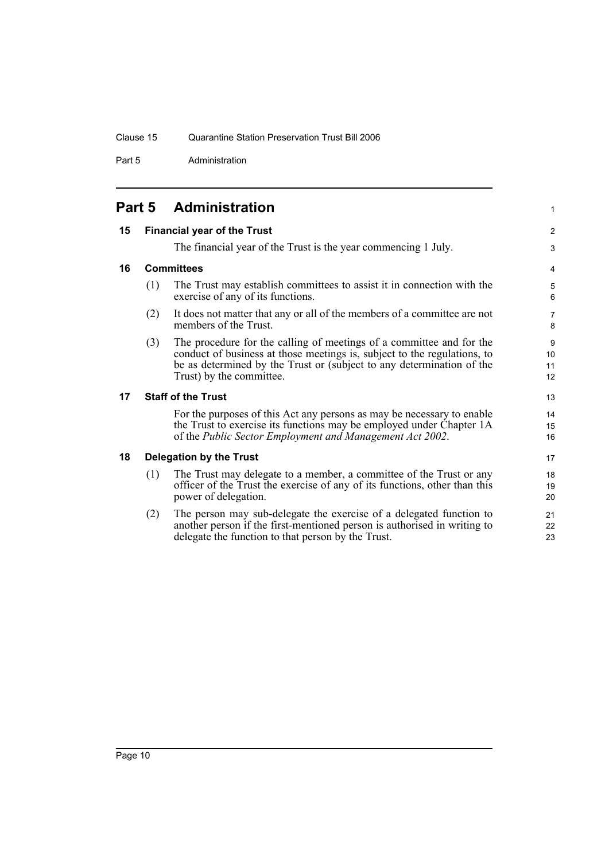#### Clause 15 Quarantine Station Preservation Trust Bill 2006

Part 5 **Administration** 

<span id="page-15-0"></span>

| Part 5<br><b>Administration</b> |  |
|---------------------------------|--|
|---------------------------------|--|

<span id="page-15-2"></span><span id="page-15-1"></span>

| 15 |     | <b>Financial year of the Trust</b>                                                                          |
|----|-----|-------------------------------------------------------------------------------------------------------------|
|    |     | The financial year of the Trust is the year commencing 1 July.                                              |
| 16 |     | <b>Committees</b>                                                                                           |
|    | (1) | The Trust may establish committees to assist it in connection with the<br>exercise of any of its functions. |
|    | (2) | It does not matter that any or all of the members of a committee are not<br>members of the Trust.           |

(3) The procedure for the calling of meetings of a committee and for the conduct of business at those meetings is, subject to the regulations, to be as determined by the Trust or (subject to any determination of the Trust) by the committee.

1

2 3

#### <span id="page-15-3"></span>**17 Staff of the Trust**

For the purposes of this Act any persons as may be necessary to enable the Trust to exercise its functions may be employed under Chapter 1A of the *Public Sector Employment and Management Act 2002*.

## <span id="page-15-4"></span>**18 Delegation by the Trust**

- (1) The Trust may delegate to a member, a committee of the Trust or any officer of the Trust the exercise of any of its functions, other than this power of delegation.
- (2) The person may sub-delegate the exercise of a delegated function to another person if the first-mentioned person is authorised in writing to delegate the function to that person by the Trust.

Page 10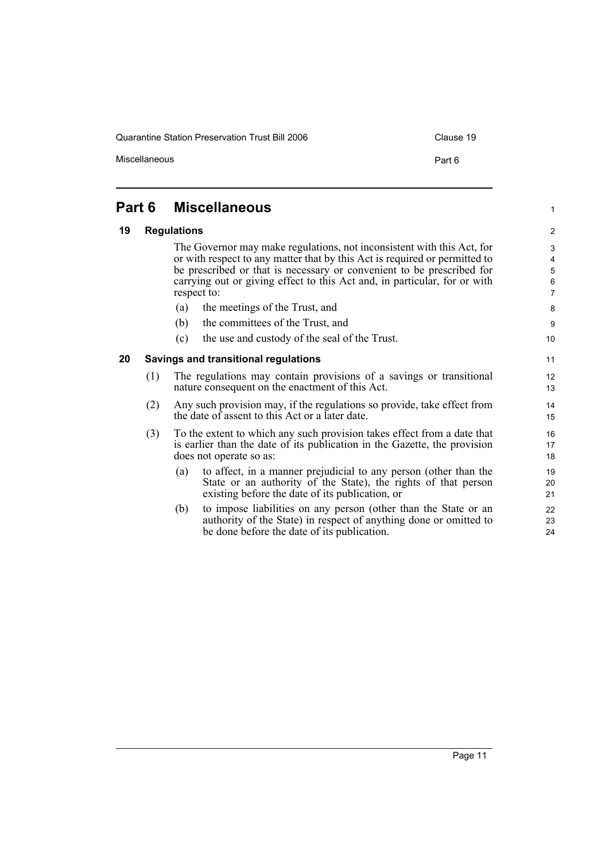Quarantine Station Preservation Trust Bill 2006 Clause 19

Miscellaneous **Part 6** 

1

# <span id="page-16-0"></span>**Part 6 Miscellaneous**

#### <span id="page-16-1"></span>**19 Regulations**

The Governor may make regulations, not inconsistent with this Act, for or with respect to any matter that by this Act is required or permitted to be prescribed or that is necessary or convenient to be prescribed for carrying out or giving effect to this Act and, in particular, for or with respect to:

- (a) the meetings of the Trust, and (b) the committees of the Trust, and
- (c) the use and custody of the seal of the Trust.

#### <span id="page-16-2"></span>**20 Savings and transitional regulations**

- (1) The regulations may contain provisions of a savings or transitional nature consequent on the enactment of this Act.
- (2) Any such provision may, if the regulations so provide, take effect from the date of assent to this Act or a later date.
- (3) To the extent to which any such provision takes effect from a date that is earlier than the date of its publication in the Gazette, the provision does not operate so as:
	- (a) to affect, in a manner prejudicial to any person (other than the State or an authority of the State), the rights of that person existing before the date of its publication, or
	- (b) to impose liabilities on any person (other than the State or an authority of the State) in respect of anything done or omitted to be done before the date of its publication.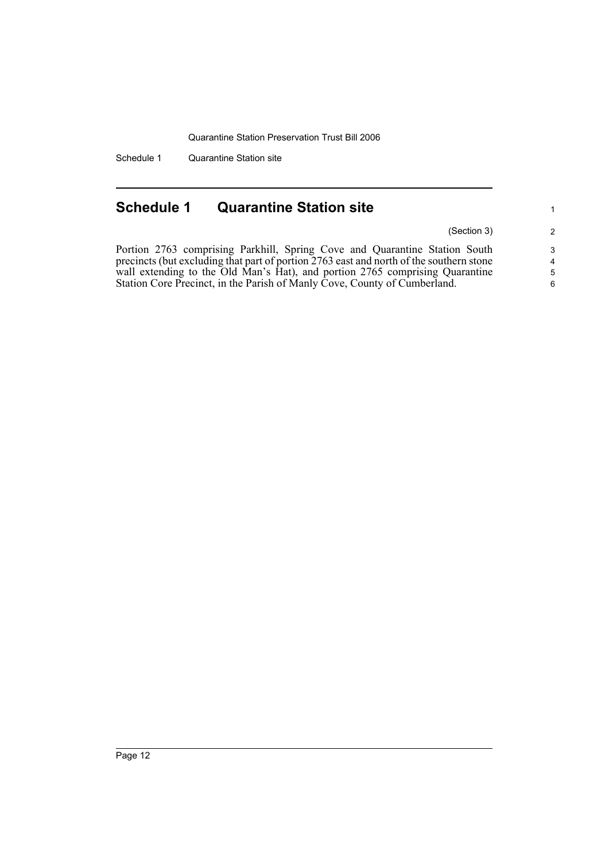Schedule 1 Quarantine Station site

# <span id="page-17-0"></span>**Schedule 1 Quarantine Station site**

(Section 3)

1

Portion 2763 comprising Parkhill, Spring Cove and Quarantine Station South precincts (but excluding that part of portion 2763 east and north of the southern stone wall extending to the Old Man's Hat), and portion 2765 comprising Quarantine Station Core Precinct, in the Parish of Manly Cove, County of Cumberland.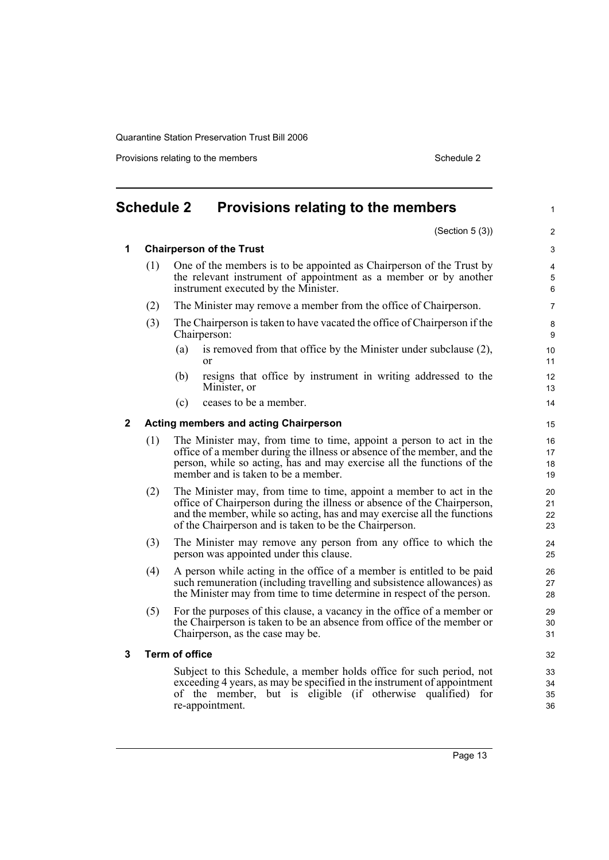Provisions relating to the members **Schedule 2** Schedule 2

<span id="page-18-0"></span>

|              | <b>Schedule 2</b> |                       | Provisions relating to the members                                                                                                                                                                                                                                                  | 1                    |
|--------------|-------------------|-----------------------|-------------------------------------------------------------------------------------------------------------------------------------------------------------------------------------------------------------------------------------------------------------------------------------|----------------------|
|              |                   |                       | (Section 5 (3))                                                                                                                                                                                                                                                                     | $\overline{2}$       |
| 1            |                   |                       | <b>Chairperson of the Trust</b>                                                                                                                                                                                                                                                     | 3                    |
|              | (1)               |                       | One of the members is to be appointed as Chairperson of the Trust by<br>the relevant instrument of appointment as a member or by another<br>instrument executed by the Minister.                                                                                                    | 4<br>5<br>6          |
|              | (2)               |                       | The Minister may remove a member from the office of Chairperson.                                                                                                                                                                                                                    | $\overline{7}$       |
|              | (3)               |                       | The Chairperson is taken to have vacated the office of Chairperson if the<br>Chairperson:                                                                                                                                                                                           | 8<br>9               |
|              |                   | (a)                   | is removed from that office by the Minister under subclause (2),<br>or                                                                                                                                                                                                              | 10<br>11             |
|              |                   | (b)                   | resigns that office by instrument in writing addressed to the<br>Minister, or                                                                                                                                                                                                       | 12<br>13             |
|              |                   | (c)                   | ceases to be a member.                                                                                                                                                                                                                                                              | 14                   |
| $\mathbf{2}$ |                   |                       | <b>Acting members and acting Chairperson</b>                                                                                                                                                                                                                                        | 15                   |
|              | (1)               |                       | The Minister may, from time to time, appoint a person to act in the<br>office of a member during the illness or absence of the member, and the<br>person, while so acting, has and may exercise all the functions of the<br>member and is taken to be a member.                     | 16<br>17<br>18<br>19 |
|              | (2)               |                       | The Minister may, from time to time, appoint a member to act in the<br>office of Chairperson during the illness or absence of the Chairperson,<br>and the member, while so acting, has and may exercise all the functions<br>of the Chairperson and is taken to be the Chairperson. | 20<br>21<br>22<br>23 |
|              | (3)               |                       | The Minister may remove any person from any office to which the<br>person was appointed under this clause.                                                                                                                                                                          | 24<br>25             |
|              | (4)               |                       | A person while acting in the office of a member is entitled to be paid<br>such remuneration (including travelling and subsistence allowances) as<br>the Minister may from time to time determine in respect of the person.                                                          | 26<br>27<br>28       |
|              | (5)               |                       | For the purposes of this clause, a vacancy in the office of a member or<br>the Chairperson is taken to be an absence from office of the member or<br>Chairperson, as the case may be.                                                                                               | 29<br>30<br>31       |
| 3            |                   | <b>Term of office</b> |                                                                                                                                                                                                                                                                                     | 32                   |
|              |                   |                       | Subject to this Schedule, a member holds office for such period, not<br>exceeding 4 years, as may be specified in the instrument of appointment<br>of the member, but is eligible (if otherwise qualified) for<br>re-appointment.                                                   | 33<br>34<br>35<br>36 |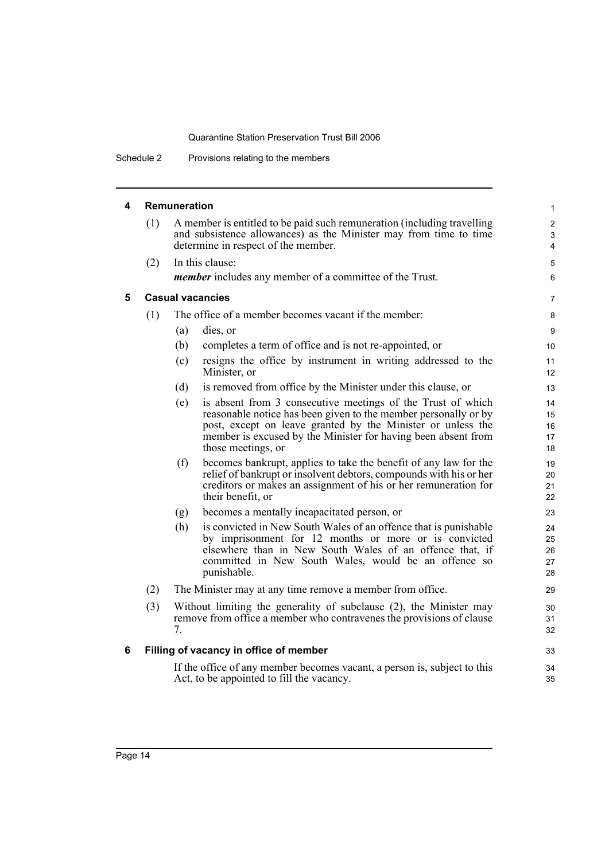Schedule 2 Provisions relating to the members

| 4 |     | Remuneration |                                                                                                                                                                                                                                                                                      | $\mathbf{1}$                                     |
|---|-----|--------------|--------------------------------------------------------------------------------------------------------------------------------------------------------------------------------------------------------------------------------------------------------------------------------------|--------------------------------------------------|
|   | (1) |              | A member is entitled to be paid such remuneration (including travelling<br>and subsistence allowances) as the Minister may from time to time<br>determine in respect of the member.                                                                                                  | $\overline{2}$<br>$\ensuremath{\mathsf{3}}$<br>4 |
|   | (2) |              | In this clause:<br><i>member</i> includes any member of a committee of the Trust.                                                                                                                                                                                                    | 5<br>6                                           |
| 5 |     |              | <b>Casual vacancies</b>                                                                                                                                                                                                                                                              | 7                                                |
|   | (1) |              | The office of a member becomes vacant if the member:                                                                                                                                                                                                                                 | 8                                                |
|   |     | (a)          | dies, or                                                                                                                                                                                                                                                                             | 9                                                |
|   |     | (b)          | completes a term of office and is not re-appointed, or                                                                                                                                                                                                                               | 10                                               |
|   |     | (c)          | resigns the office by instrument in writing addressed to the<br>Minister, or                                                                                                                                                                                                         | 11<br>12                                         |
|   |     | (d)          | is removed from office by the Minister under this clause, or                                                                                                                                                                                                                         | 13                                               |
|   |     | (e)          | is absent from 3 consecutive meetings of the Trust of which<br>reasonable notice has been given to the member personally or by<br>post, except on leave granted by the Minister or unless the<br>member is excused by the Minister for having been absent from<br>those meetings, or | 14<br>15<br>16<br>17<br>18                       |
|   |     | (f)          | becomes bankrupt, applies to take the benefit of any law for the<br>relief of bankrupt or insolvent debtors, compounds with his or her<br>creditors or makes an assignment of his or her remuneration for<br>their benefit, or                                                       | 19<br>20<br>21<br>22                             |
|   |     | (g)          | becomes a mentally incapacitated person, or                                                                                                                                                                                                                                          | 23                                               |
|   |     | (h)          | is convicted in New South Wales of an offence that is punishable<br>by imprisonment for 12 months or more or is convicted<br>elsewhere than in New South Wales of an offence that, if<br>committed in New South Wales, would be an offence so<br>punishable.                         | 24<br>25<br>26<br>27<br>28                       |
|   | (2) |              | The Minister may at any time remove a member from office.                                                                                                                                                                                                                            | 29                                               |
|   | (3) | 7.           | Without limiting the generality of subclause (2), the Minister may<br>remove from office a member who contravenes the provisions of clause                                                                                                                                           | 30<br>31<br>32                                   |
| 6 |     |              | Filling of vacancy in office of member                                                                                                                                                                                                                                               | 33                                               |
|   |     |              | If the office of any member becomes vacant, a person is, subject to this<br>Act, to be appointed to fill the vacancy.                                                                                                                                                                | 34<br>35                                         |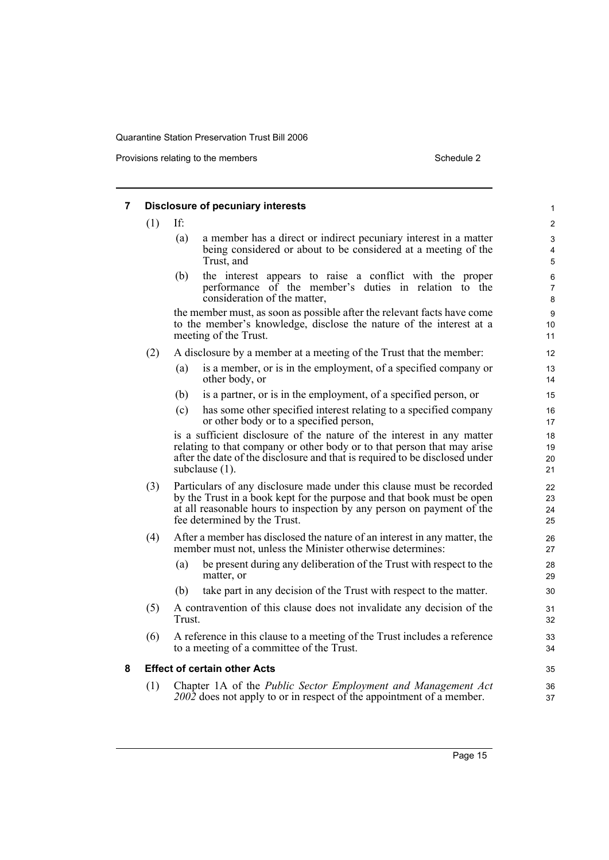Provisions relating to the members **Schedule 2** Schedule 2

| 7 |     | <b>Disclosure of pecuniary interests</b>                                                                                                                                                                                                                 | $\mathbf{1}$             |
|---|-----|----------------------------------------------------------------------------------------------------------------------------------------------------------------------------------------------------------------------------------------------------------|--------------------------|
|   | (1) | If:                                                                                                                                                                                                                                                      | $\overline{2}$           |
|   |     | a member has a direct or indirect pecuniary interest in a matter<br>(a)<br>being considered or about to be considered at a meeting of the<br>Trust, and                                                                                                  | 3<br>4<br>5              |
|   |     | (b)<br>the interest appears to raise a conflict with the proper<br>performance of the member's duties in relation to the<br>consideration of the matter,                                                                                                 | 6<br>$\overline{7}$<br>8 |
|   |     | the member must, as soon as possible after the relevant facts have come<br>to the member's knowledge, disclose the nature of the interest at a<br>meeting of the Trust.                                                                                  | 9<br>10<br>11            |
|   | (2) | A disclosure by a member at a meeting of the Trust that the member:                                                                                                                                                                                      | 12                       |
|   |     | is a member, or is in the employment, of a specified company or<br>(a)<br>other body, or                                                                                                                                                                 | 13<br>14                 |
|   |     | is a partner, or is in the employment, of a specified person, or<br>(b)                                                                                                                                                                                  | 15                       |
|   |     | has some other specified interest relating to a specified company<br>(c)<br>or other body or to a specified person,                                                                                                                                      | 16<br>17                 |
|   |     | is a sufficient disclosure of the nature of the interest in any matter<br>relating to that company or other body or to that person that may arise<br>after the date of the disclosure and that is required to be disclosed under<br>subclause (1).       | 18<br>19<br>20<br>21     |
|   | (3) | Particulars of any disclosure made under this clause must be recorded<br>by the Trust in a book kept for the purpose and that book must be open<br>at all reasonable hours to inspection by any person on payment of the<br>fee determined by the Trust. | 22<br>23<br>24<br>25     |
|   | (4) | After a member has disclosed the nature of an interest in any matter, the<br>member must not, unless the Minister otherwise determines:                                                                                                                  | 26<br>27                 |
|   |     | be present during any deliberation of the Trust with respect to the<br>(a)<br>matter, or                                                                                                                                                                 | 28<br>29                 |
|   |     | (b)<br>take part in any decision of the Trust with respect to the matter.                                                                                                                                                                                | 30                       |
|   | (5) | A contravention of this clause does not invalidate any decision of the<br>Trust.                                                                                                                                                                         | 31<br>32                 |
|   | (6) | A reference in this clause to a meeting of the Trust includes a reference<br>to a meeting of a committee of the Trust.                                                                                                                                   | 33<br>34                 |
| 8 |     | <b>Effect of certain other Acts</b>                                                                                                                                                                                                                      | 35                       |
|   | (1) | Chapter 1A of the Public Sector Employment and Management Act<br>$200\overline{2}$ does not apply to or in respect of the appointment of a member.                                                                                                       | 36<br>37                 |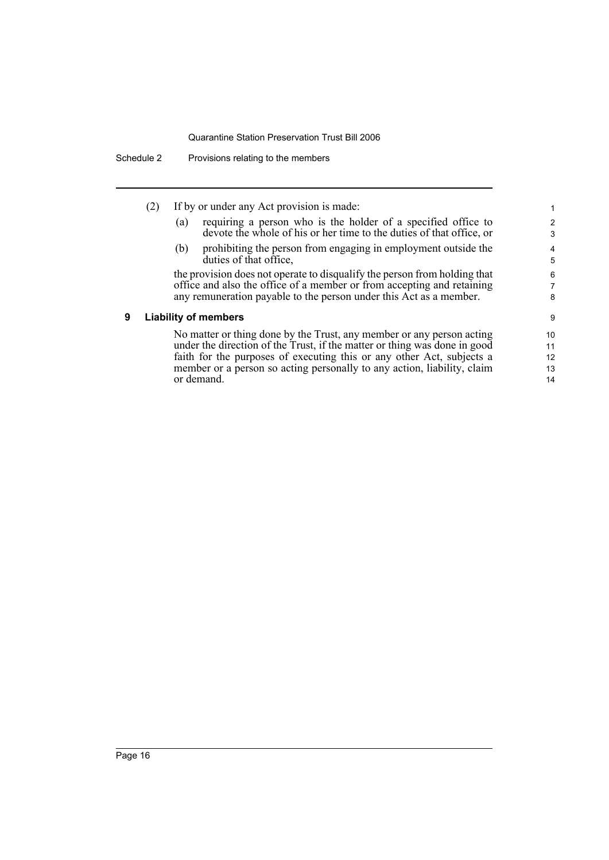| (2) | If by or under any Act provision is made: |  |  |
|-----|-------------------------------------------|--|--|
|     |                                           |  |  |

| (a) | requiring a person who is the holder of a specified office to        |  |
|-----|----------------------------------------------------------------------|--|
|     | devote the whole of his or her time to the duties of that office, or |  |

(b) prohibiting the person from engaging in employment outside the duties of that office,

the provision does not operate to disqualify the person from holding that office and also the office of a member or from accepting and retaining any remuneration payable to the person under this Act as a member.

#### **9 Liability of members**

No matter or thing done by the Trust, any member or any person acting under the direction of the Trust, if the matter or thing was done in good faith for the purposes of executing this or any other Act, subjects a member or a person so acting personally to any action, liability, claim or demand.

14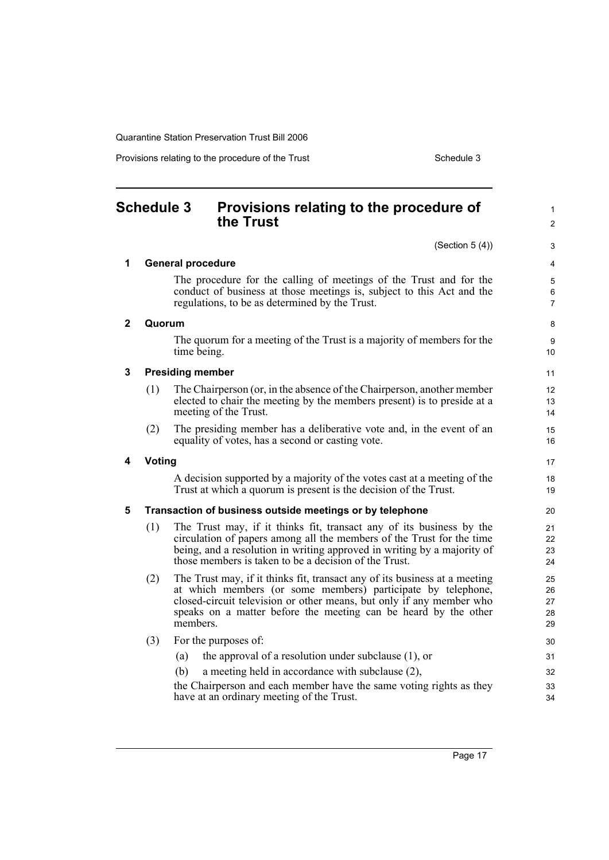Provisions relating to the procedure of the Trust Schedule 3

<span id="page-22-0"></span>

| <b>Schedule 3</b> |        | Provisions relating to the procedure of<br>the Trust                                                                                                                                                                                                                                              | $\mathbf{1}$<br>$\overline{2}$ |
|-------------------|--------|---------------------------------------------------------------------------------------------------------------------------------------------------------------------------------------------------------------------------------------------------------------------------------------------------|--------------------------------|
|                   |        | (Section $5(4)$ )                                                                                                                                                                                                                                                                                 | 3                              |
| 1                 |        | <b>General procedure</b>                                                                                                                                                                                                                                                                          | 4                              |
|                   |        | The procedure for the calling of meetings of the Trust and for the<br>conduct of business at those meetings is, subject to this Act and the<br>regulations, to be as determined by the Trust.                                                                                                     | 5<br>6<br>$\overline{7}$       |
| $\mathbf{2}$      | Quorum |                                                                                                                                                                                                                                                                                                   | 8                              |
|                   |        | The quorum for a meeting of the Trust is a majority of members for the<br>time being.                                                                                                                                                                                                             | 9<br>10 <sup>°</sup>           |
| 3                 |        | <b>Presiding member</b>                                                                                                                                                                                                                                                                           | 11                             |
|                   | (1)    | The Chairperson (or, in the absence of the Chairperson, another member<br>elected to chair the meeting by the members present) is to preside at a<br>meeting of the Trust.                                                                                                                        | 12 <sup>2</sup><br>13<br>14    |
|                   | (2)    | The presiding member has a deliberative vote and, in the event of an<br>equality of votes, has a second or casting vote.                                                                                                                                                                          | 15<br>16                       |
| 4                 | Voting |                                                                                                                                                                                                                                                                                                   | 17                             |
|                   |        | A decision supported by a majority of the votes cast at a meeting of the<br>Trust at which a quorum is present is the decision of the Trust.                                                                                                                                                      | 18<br>19                       |
| 5                 |        | Transaction of business outside meetings or by telephone                                                                                                                                                                                                                                          | 20                             |
|                   | (1)    | The Trust may, if it thinks fit, transact any of its business by the<br>circulation of papers among all the members of the Trust for the time<br>being, and a resolution in writing approved in writing by a majority of<br>those members is taken to be a decision of the Trust.                 | 21<br>22<br>23<br>24           |
|                   | (2)    | The Trust may, if it thinks fit, transact any of its business at a meeting<br>at which members (or some members) participate by telephone,<br>closed-circuit television or other means, but only if any member who<br>speaks on a matter before the meeting can be heard by the other<br>members. | 25<br>26<br>27<br>28<br>29     |
|                   | (3)    | For the purposes of:                                                                                                                                                                                                                                                                              | 30                             |
|                   |        | the approval of a resolution under subclause $(1)$ , or<br>(a)                                                                                                                                                                                                                                    | 31                             |
|                   |        | (b)<br>a meeting held in accordance with subclause (2),                                                                                                                                                                                                                                           | 32                             |
|                   |        | the Chairperson and each member have the same voting rights as they<br>have at an ordinary meeting of the Trust.                                                                                                                                                                                  | 33<br>34                       |